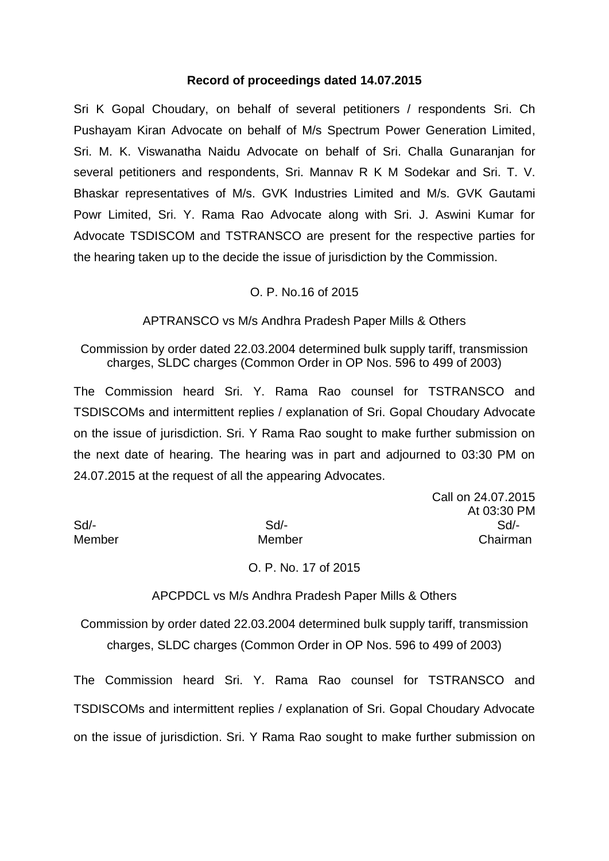## **Record of proceedings dated 14.07.2015**

Sri K Gopal Choudary, on behalf of several petitioners / respondents Sri. Ch Pushayam Kiran Advocate on behalf of M/s Spectrum Power Generation Limited, Sri. M. K. Viswanatha Naidu Advocate on behalf of Sri. Challa Gunaranjan for several petitioners and respondents, Sri. Mannav R K M Sodekar and Sri. T. V. Bhaskar representatives of M/s. GVK Industries Limited and M/s. GVK Gautami Powr Limited, Sri. Y. Rama Rao Advocate along with Sri. J. Aswini Kumar for Advocate TSDISCOM and TSTRANSCO are present for the respective parties for the hearing taken up to the decide the issue of jurisdiction by the Commission.

#### O. P. No.16 of 2015

APTRANSCO vs M/s Andhra Pradesh Paper Mills & Others

Commission by order dated 22.03.2004 determined bulk supply tariff, transmission charges, SLDC charges (Common Order in OP Nos. 596 to 499 of 2003)

The Commission heard Sri. Y. Rama Rao counsel for TSTRANSCO and TSDISCOMs and intermittent replies / explanation of Sri. Gopal Choudary Advocate on the issue of jurisdiction. Sri. Y Rama Rao sought to make further submission on the next date of hearing. The hearing was in part and adjourned to 03:30 PM on 24.07.2015 at the request of all the appearing Advocates.

|        |        | At 03:30 PM |
|--------|--------|-------------|
| Sd/-   | Sd/-   | Sd          |
| Member | Member | Chairman    |

Call on 24.07.2015 At 03:30 PM

O. P. No. 17 of 2015

APCPDCL vs M/s Andhra Pradesh Paper Mills & Others

Commission by order dated 22.03.2004 determined bulk supply tariff, transmission charges, SLDC charges (Common Order in OP Nos. 596 to 499 of 2003)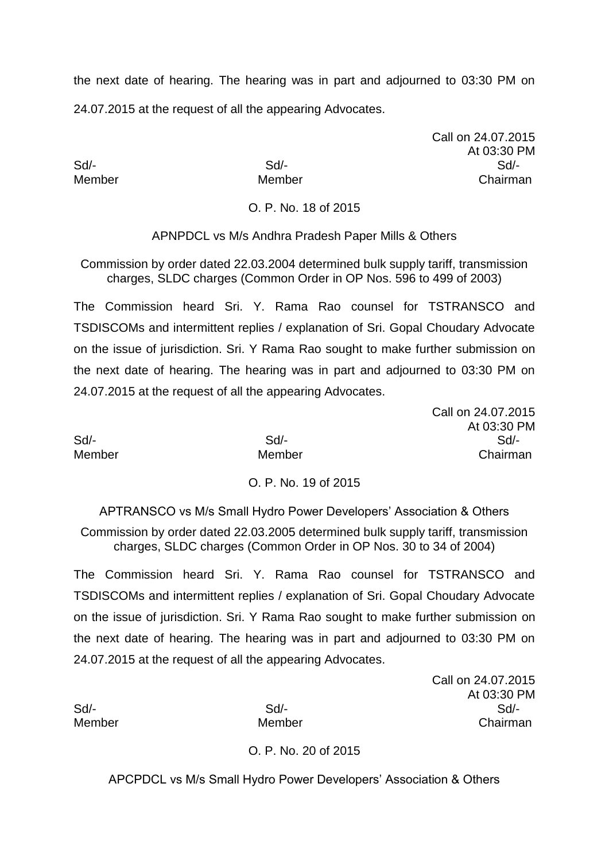Call on 24.07.2015 At 03:30 PM Sd/- Sd/- Sd/- Member Member Chairman

Call on 24.07.2015

At 03:30 PM

O. P. No. 18 of 2015

APNPDCL vs M/s Andhra Pradesh Paper Mills & Others

Commission by order dated 22.03.2004 determined bulk supply tariff, transmission charges, SLDC charges (Common Order in OP Nos. 596 to 499 of 2003)

The Commission heard Sri. Y. Rama Rao counsel for TSTRANSCO and TSDISCOMs and intermittent replies / explanation of Sri. Gopal Choudary Advocate on the issue of jurisdiction. Sri. Y Rama Rao sought to make further submission on the next date of hearing. The hearing was in part and adjourned to 03:30 PM on 24.07.2015 at the request of all the appearing Advocates.

Sd/- Sd/- Sd/- Member Member Chairman

## O. P. No. 19 of 2015

APTRANSCO vs M/s Small Hydro Power Developers' Association & Others

Commission by order dated 22.03.2005 determined bulk supply tariff, transmission charges, SLDC charges (Common Order in OP Nos. 30 to 34 of 2004)

The Commission heard Sri. Y. Rama Rao counsel for TSTRANSCO and TSDISCOMs and intermittent replies / explanation of Sri. Gopal Choudary Advocate on the issue of jurisdiction. Sri. Y Rama Rao sought to make further submission on the next date of hearing. The hearing was in part and adjourned to 03:30 PM on 24.07.2015 at the request of all the appearing Advocates.

Call on 24.07.2015 At 03:30 PM Sd/- Sd/- Sd/- Member Member Chairman

O. P. No. 20 of 2015

APCPDCL vs M/s Small Hydro Power Developers' Association & Others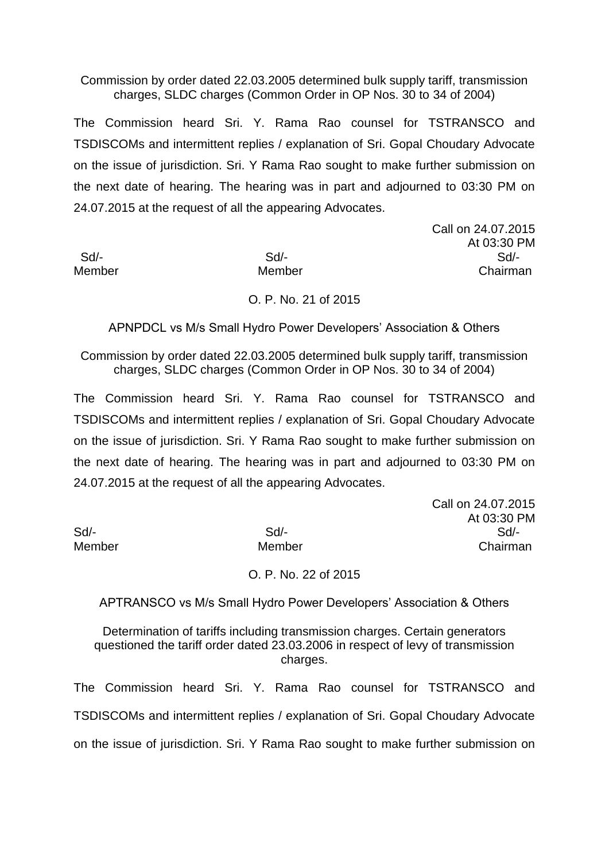Commission by order dated 22.03.2005 determined bulk supply tariff, transmission charges, SLDC charges (Common Order in OP Nos. 30 to 34 of 2004)

The Commission heard Sri. Y. Rama Rao counsel for TSTRANSCO and TSDISCOMs and intermittent replies / explanation of Sri. Gopal Choudary Advocate on the issue of jurisdiction. Sri. Y Rama Rao sought to make further submission on the next date of hearing. The hearing was in part and adjourned to 03:30 PM on 24.07.2015 at the request of all the appearing Advocates.

Call on 24.07.2015 At 03:30 PM Sd/- Sd/- Sd/- Member Member Chairman

## O. P. No. 21 of 2015

APNPDCL vs M/s Small Hydro Power Developers' Association & Others

Commission by order dated 22.03.2005 determined bulk supply tariff, transmission charges, SLDC charges (Common Order in OP Nos. 30 to 34 of 2004)

The Commission heard Sri. Y. Rama Rao counsel for TSTRANSCO and TSDISCOMs and intermittent replies / explanation of Sri. Gopal Choudary Advocate on the issue of jurisdiction. Sri. Y Rama Rao sought to make further submission on the next date of hearing. The hearing was in part and adjourned to 03:30 PM on 24.07.2015 at the request of all the appearing Advocates.

|        |        | Call on 24.07.2015 |
|--------|--------|--------------------|
|        |        | At 03:30 PM        |
| Sd/-   | $Sd/-$ | Sd                 |
| Member | Member | Chairman           |

## O. P. No. 22 of 2015

APTRANSCO vs M/s Small Hydro Power Developers' Association & Others

Determination of tariffs including transmission charges. Certain generators questioned the tariff order dated 23.03.2006 in respect of levy of transmission charges.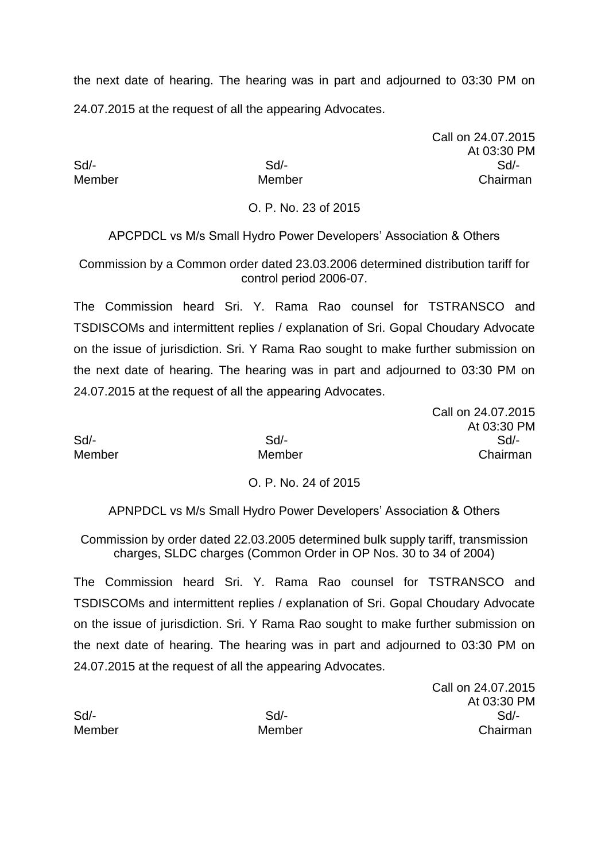Call on 24.07.2015 At 03:30 PM Sd/- Sd/- Sd/- Member Member Chairman

O. P. No. 23 of 2015

APCPDCL vs M/s Small Hydro Power Developers' Association & Others

Commission by a Common order dated 23.03.2006 determined distribution tariff for control period 2006-07.

The Commission heard Sri. Y. Rama Rao counsel for TSTRANSCO and TSDISCOMs and intermittent replies / explanation of Sri. Gopal Choudary Advocate on the issue of jurisdiction. Sri. Y Rama Rao sought to make further submission on the next date of hearing. The hearing was in part and adjourned to 03:30 PM on 24.07.2015 at the request of all the appearing Advocates.

Call on 24.07.2015 At 03:30 PM Sd/- Sd/- Sd/- Member Member Chairman

## O. P. No. 24 of 2015

APNPDCL vs M/s Small Hydro Power Developers' Association & Others

Commission by order dated 22.03.2005 determined bulk supply tariff, transmission charges, SLDC charges (Common Order in OP Nos. 30 to 34 of 2004)

The Commission heard Sri. Y. Rama Rao counsel for TSTRANSCO and TSDISCOMs and intermittent replies / explanation of Sri. Gopal Choudary Advocate on the issue of jurisdiction. Sri. Y Rama Rao sought to make further submission on the next date of hearing. The hearing was in part and adjourned to 03:30 PM on 24.07.2015 at the request of all the appearing Advocates.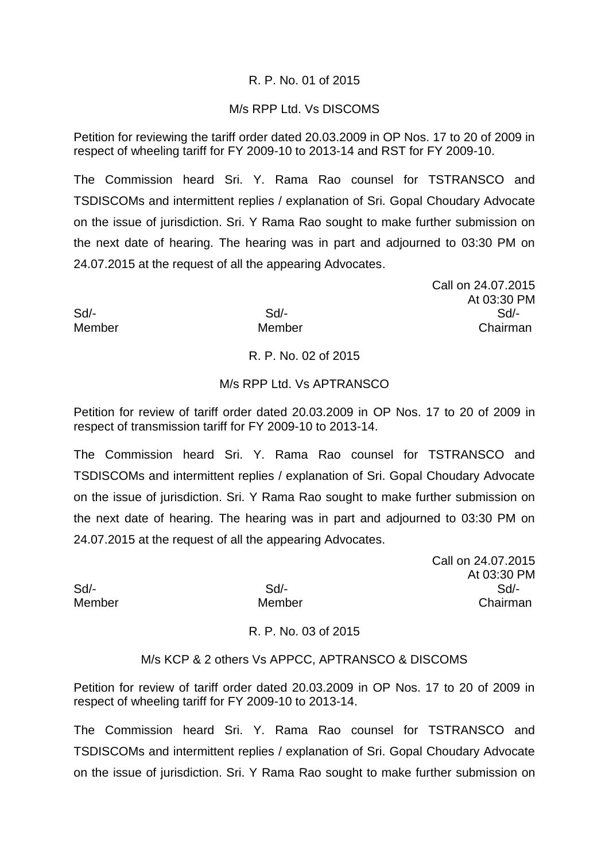## R. P. No. 01 of 2015

## M/s RPP Ltd. Vs DISCOMS

Petition for reviewing the tariff order dated 20.03.2009 in OP Nos. 17 to 20 of 2009 in respect of wheeling tariff for FY 2009-10 to 2013-14 and RST for FY 2009-10.

The Commission heard Sri. Y. Rama Rao counsel for TSTRANSCO and TSDISCOMs and intermittent replies / explanation of Sri. Gopal Choudary Advocate on the issue of jurisdiction. Sri. Y Rama Rao sought to make further submission on the next date of hearing. The hearing was in part and adjourned to 03:30 PM on 24.07.2015 at the request of all the appearing Advocates.

Call on 24.07.2015 At 03:30 PM Sd/- Sd/- Sd/- Member Member Chairman

# R. P. No. 02 of 2015

#### M/s RPP Ltd. Vs APTRANSCO

Petition for review of tariff order dated 20.03.2009 in OP Nos. 17 to 20 of 2009 in respect of transmission tariff for FY 2009-10 to 2013-14.

The Commission heard Sri. Y. Rama Rao counsel for TSTRANSCO and TSDISCOMs and intermittent replies / explanation of Sri. Gopal Choudary Advocate on the issue of jurisdiction. Sri. Y Rama Rao sought to make further submission on the next date of hearing. The hearing was in part and adjourned to 03:30 PM on 24.07.2015 at the request of all the appearing Advocates.

Call on 24.07.2015 At 03:30 PM Sd/- Sd/- Sd/- Member Member Chairman

R. P. No. 03 of 2015

#### M/s KCP & 2 others Vs APPCC, APTRANSCO & DISCOMS

Petition for review of tariff order dated 20.03.2009 in OP Nos. 17 to 20 of 2009 in respect of wheeling tariff for FY 2009-10 to 2013-14.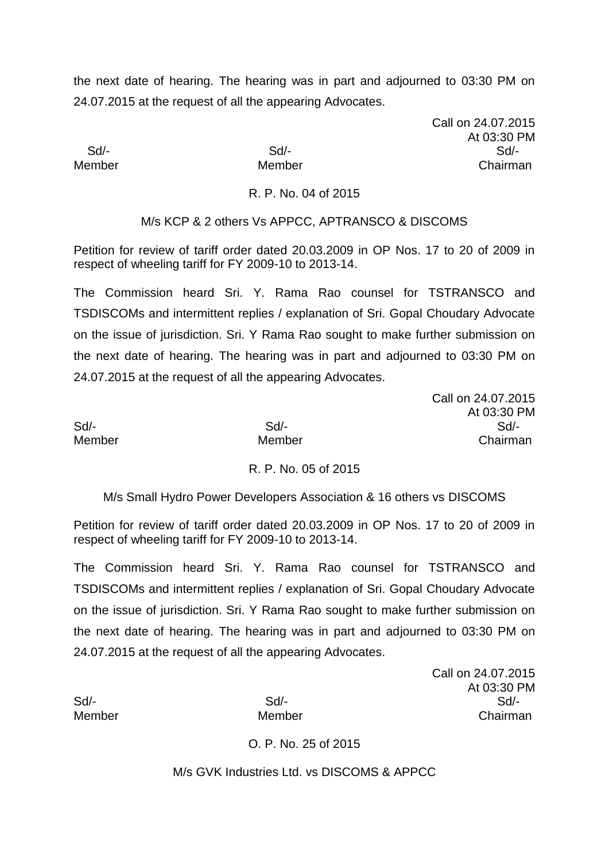Call on 24.07.2015 At 03:30 PM Sd/- Sd/- Sd/- Member Member Member Chairman

Call on 24.07.2015

#### R. P. No. 04 of 2015

M/s KCP & 2 others Vs APPCC, APTRANSCO & DISCOMS

Petition for review of tariff order dated 20.03.2009 in OP Nos. 17 to 20 of 2009 in respect of wheeling tariff for FY 2009-10 to 2013-14.

The Commission heard Sri. Y. Rama Rao counsel for TSTRANSCO and TSDISCOMs and intermittent replies / explanation of Sri. Gopal Choudary Advocate on the issue of jurisdiction. Sri. Y Rama Rao sought to make further submission on the next date of hearing. The hearing was in part and adjourned to 03:30 PM on 24.07.2015 at the request of all the appearing Advocates.

|        | $O(11 \, \text{C} \cdot \text{C} \cdot \text{C} \cdot \text{C})$ |
|--------|------------------------------------------------------------------|
|        | At 03:30 PM                                                      |
| $Sd$ - | Sd/-                                                             |
| Member | Chairman                                                         |
|        |                                                                  |

## R. P. No. 05 of 2015

M/s Small Hydro Power Developers Association & 16 others vs DISCOMS

Petition for review of tariff order dated 20.03.2009 in OP Nos. 17 to 20 of 2009 in respect of wheeling tariff for FY 2009-10 to 2013-14.

The Commission heard Sri. Y. Rama Rao counsel for TSTRANSCO and TSDISCOMs and intermittent replies / explanation of Sri. Gopal Choudary Advocate on the issue of jurisdiction. Sri. Y Rama Rao sought to make further submission on the next date of hearing. The hearing was in part and adjourned to 03:30 PM on 24.07.2015 at the request of all the appearing Advocates.

Call on 24.07.2015 At 03:30 PM Sd/- Sd/- Sd/- Member Member Chairman

O. P. No. 25 of 2015

M/s GVK Industries Ltd. vs DISCOMS & APPCC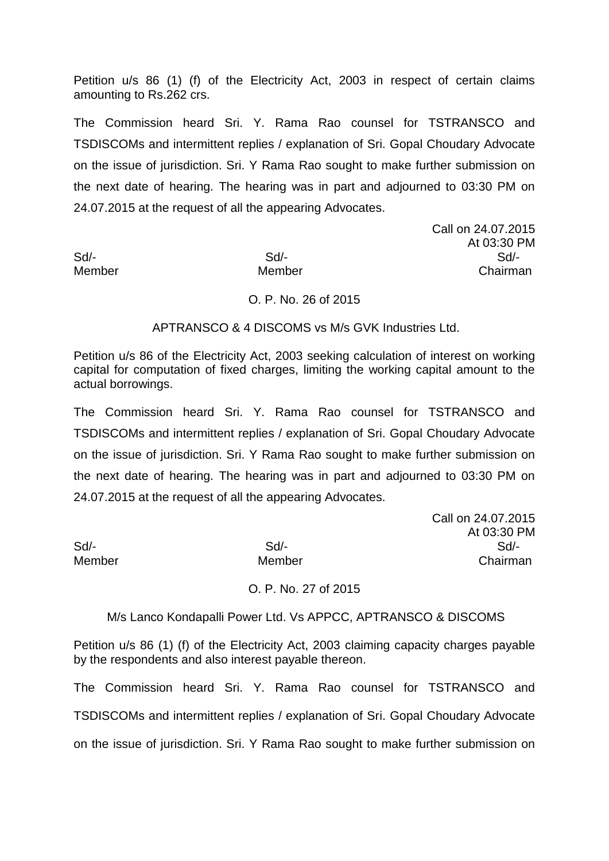Petition u/s 86 (1) (f) of the Electricity Act, 2003 in respect of certain claims amounting to Rs.262 crs.

The Commission heard Sri. Y. Rama Rao counsel for TSTRANSCO and TSDISCOMs and intermittent replies / explanation of Sri. Gopal Choudary Advocate on the issue of jurisdiction. Sri. Y Rama Rao sought to make further submission on the next date of hearing. The hearing was in part and adjourned to 03:30 PM on 24.07.2015 at the request of all the appearing Advocates.

Call on 24.07.2015 At 03:30 PM Sd/- Sd/- Sd/- Member Member Chairman

## O. P. No. 26 of 2015

#### APTRANSCO & 4 DISCOMS vs M/s GVK Industries Ltd.

Petition u/s 86 of the Electricity Act, 2003 seeking calculation of interest on working capital for computation of fixed charges, limiting the working capital amount to the actual borrowings.

The Commission heard Sri. Y. Rama Rao counsel for TSTRANSCO and TSDISCOMs and intermittent replies / explanation of Sri. Gopal Choudary Advocate on the issue of jurisdiction. Sri. Y Rama Rao sought to make further submission on the next date of hearing. The hearing was in part and adjourned to 03:30 PM on 24.07.2015 at the request of all the appearing Advocates.

Call on 24.07.2015 At 03:30 PM Sd/- Sd/- Sd/- Member Member Chairman

#### O. P. No. 27 of 2015

## M/s Lanco Kondapalli Power Ltd. Vs APPCC, APTRANSCO & DISCOMS

Petition u/s 86 (1) (f) of the Electricity Act, 2003 claiming capacity charges payable by the respondents and also interest payable thereon.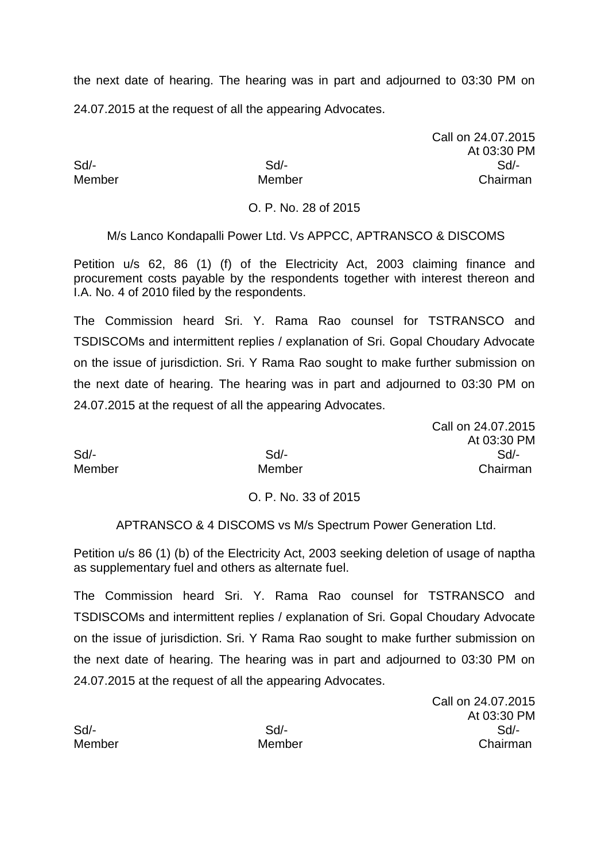Call on 24.07.2015 At 03:30 PM Sd/- Sd/- Sd/- Member Member Chairman

O. P. No. 28 of 2015

M/s Lanco Kondapalli Power Ltd. Vs APPCC, APTRANSCO & DISCOMS

Petition u/s 62, 86 (1) (f) of the Electricity Act, 2003 claiming finance and procurement costs payable by the respondents together with interest thereon and I.A. No. 4 of 2010 filed by the respondents.

The Commission heard Sri. Y. Rama Rao counsel for TSTRANSCO and TSDISCOMs and intermittent replies / explanation of Sri. Gopal Choudary Advocate on the issue of jurisdiction. Sri. Y Rama Rao sought to make further submission on the next date of hearing. The hearing was in part and adjourned to 03:30 PM on 24.07.2015 at the request of all the appearing Advocates.

Call on 24.07.2015 At 03:30 PM Sd/- Sd/- Sd/- Member Member Chairman

O. P. No. 33 of 2015

APTRANSCO & 4 DISCOMS vs M/s Spectrum Power Generation Ltd.

Petition u/s 86 (1) (b) of the Electricity Act, 2003 seeking deletion of usage of naptha as supplementary fuel and others as alternate fuel.

The Commission heard Sri. Y. Rama Rao counsel for TSTRANSCO and TSDISCOMs and intermittent replies / explanation of Sri. Gopal Choudary Advocate on the issue of jurisdiction. Sri. Y Rama Rao sought to make further submission on the next date of hearing. The hearing was in part and adjourned to 03:30 PM on 24.07.2015 at the request of all the appearing Advocates.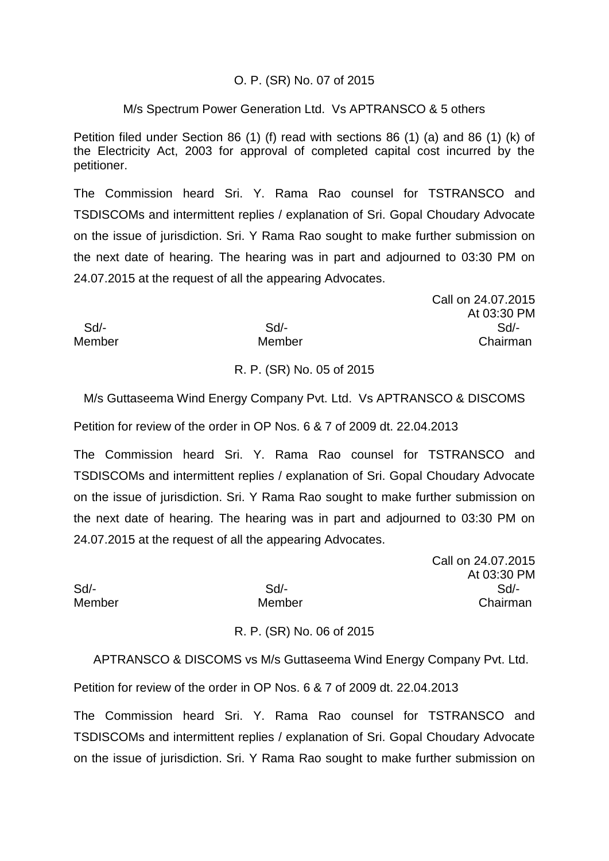## O. P. (SR) No. 07 of 2015

#### M/s Spectrum Power Generation Ltd. Vs APTRANSCO & 5 others

Petition filed under Section 86 (1) (f) read with sections 86 (1) (a) and 86 (1) (k) of the Electricity Act, 2003 for approval of completed capital cost incurred by the petitioner.

The Commission heard Sri. Y. Rama Rao counsel for TSTRANSCO and TSDISCOMs and intermittent replies / explanation of Sri. Gopal Choudary Advocate on the issue of jurisdiction. Sri. Y Rama Rao sought to make further submission on the next date of hearing. The hearing was in part and adjourned to 03:30 PM on 24.07.2015 at the request of all the appearing Advocates.

|               |        | Call on 24.07.2015 |
|---------------|--------|--------------------|
|               |        | At 03:30 PM        |
| Sd/-          | $Sd$ - | Sd                 |
| <b>Member</b> | Member | Chairman           |

## R. P. (SR) No. 05 of 2015

M/s Guttaseema Wind Energy Company Pvt. Ltd. Vs APTRANSCO & DISCOMS

Petition for review of the order in OP Nos. 6 & 7 of 2009 dt. 22.04.2013

The Commission heard Sri. Y. Rama Rao counsel for TSTRANSCO and TSDISCOMs and intermittent replies / explanation of Sri. Gopal Choudary Advocate on the issue of jurisdiction. Sri. Y Rama Rao sought to make further submission on the next date of hearing. The hearing was in part and adjourned to 03:30 PM on 24.07.2015 at the request of all the appearing Advocates.

Call on 24.07.2015 At 03:30 PM Sd/- Sd/- Sd/- Member Member Chairman

R. P. (SR) No. 06 of 2015

APTRANSCO & DISCOMS vs M/s Guttaseema Wind Energy Company Pvt. Ltd.

Petition for review of the order in OP Nos. 6 & 7 of 2009 dt. 22.04.2013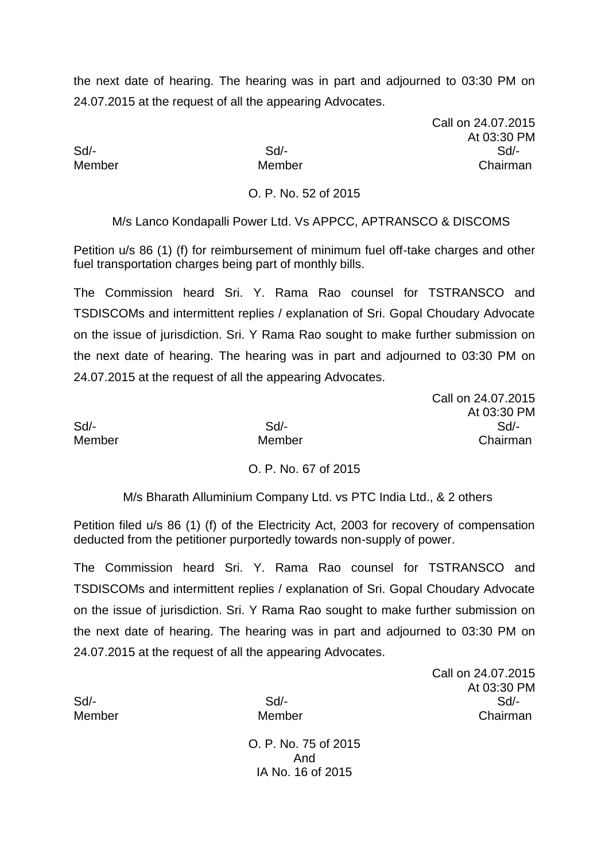Call on 24.07.2015 At 03:30 PM Sd/- Sd/- Sd/- Member Member Chairman

#### O. P. No. 52 of 2015

M/s Lanco Kondapalli Power Ltd. Vs APPCC, APTRANSCO & DISCOMS

Petition u/s 86 (1) (f) for reimbursement of minimum fuel off-take charges and other fuel transportation charges being part of monthly bills.

The Commission heard Sri. Y. Rama Rao counsel for TSTRANSCO and TSDISCOMs and intermittent replies / explanation of Sri. Gopal Choudary Advocate on the issue of jurisdiction. Sri. Y Rama Rao sought to make further submission on the next date of hearing. The hearing was in part and adjourned to 03:30 PM on 24.07.2015 at the request of all the appearing Advocates.

|        |        | Call on 24.07.2015 |
|--------|--------|--------------------|
|        |        | At 03:30 PM        |
| Sd     | $Sd$ - | Sd                 |
| Member | Member | Chairman           |

## O. P. No. 67 of 2015

M/s Bharath Alluminium Company Ltd. vs PTC India Ltd., & 2 others

Petition filed u/s 86 (1) (f) of the Electricity Act, 2003 for recovery of compensation deducted from the petitioner purportedly towards non-supply of power.

The Commission heard Sri. Y. Rama Rao counsel for TSTRANSCO and TSDISCOMs and intermittent replies / explanation of Sri. Gopal Choudary Advocate on the issue of jurisdiction. Sri. Y Rama Rao sought to make further submission on the next date of hearing. The hearing was in part and adjourned to 03:30 PM on 24.07.2015 at the request of all the appearing Advocates.

Call on 24.07.2015 At 03:30 PM Sd/- Sd/- Sd/- Member Member Chairman

O. P. No. 75 of 2015 And IA No. 16 of 2015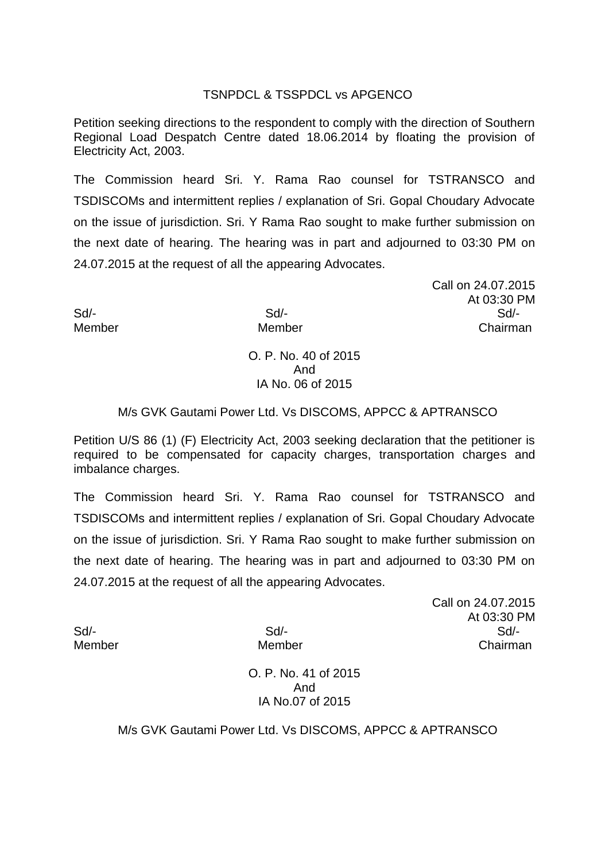## TSNPDCL & TSSPDCL vs APGENCO

Petition seeking directions to the respondent to comply with the direction of Southern Regional Load Despatch Centre dated 18.06.2014 by floating the provision of Electricity Act, 2003.

The Commission heard Sri. Y. Rama Rao counsel for TSTRANSCO and TSDISCOMs and intermittent replies / explanation of Sri. Gopal Choudary Advocate on the issue of jurisdiction. Sri. Y Rama Rao sought to make further submission on the next date of hearing. The hearing was in part and adjourned to 03:30 PM on 24.07.2015 at the request of all the appearing Advocates.

Call on 24.07.2015 At 03:30 PM Sd/- Sd/- Sd/- Member Member Chairman

## O. P. No. 40 of 2015 And IA No. 06 of 2015

## M/s GVK Gautami Power Ltd. Vs DISCOMS, APPCC & APTRANSCO

Petition U/S 86 (1) (F) Electricity Act, 2003 seeking declaration that the petitioner is required to be compensated for capacity charges, transportation charges and imbalance charges.

The Commission heard Sri. Y. Rama Rao counsel for TSTRANSCO and TSDISCOMs and intermittent replies / explanation of Sri. Gopal Choudary Advocate on the issue of jurisdiction. Sri. Y Rama Rao sought to make further submission on the next date of hearing. The hearing was in part and adjourned to 03:30 PM on 24.07.2015 at the request of all the appearing Advocates.

Call on 24.07.2015 At 03:30 PM Sd/- Sd/- Sd/- Member Member Chairman

O. P. No. 41 of 2015 And IA No.07 of 2015

M/s GVK Gautami Power Ltd. Vs DISCOMS, APPCC & APTRANSCO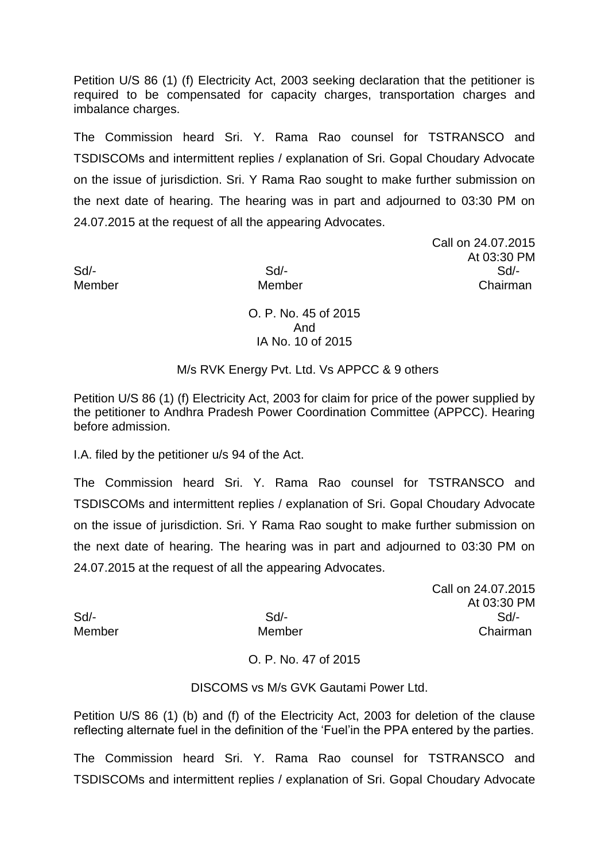Petition U/S 86 (1) (f) Electricity Act, 2003 seeking declaration that the petitioner is required to be compensated for capacity charges, transportation charges and imbalance charges.

The Commission heard Sri. Y. Rama Rao counsel for TSTRANSCO and TSDISCOMs and intermittent replies / explanation of Sri. Gopal Choudary Advocate on the issue of jurisdiction. Sri. Y Rama Rao sought to make further submission on the next date of hearing. The hearing was in part and adjourned to 03:30 PM on 24.07.2015 at the request of all the appearing Advocates.

Call on 24.07.2015 At 03:30 PM Sd/- Sd/- Sd/- Member Member Chairman

> O. P. No. 45 of 2015 And IA No. 10 of 2015

M/s RVK Energy Pvt. Ltd. Vs APPCC & 9 others

Petition U/S 86 (1) (f) Electricity Act, 2003 for claim for price of the power supplied by the petitioner to Andhra Pradesh Power Coordination Committee (APPCC). Hearing before admission.

I.A. filed by the petitioner u/s 94 of the Act.

The Commission heard Sri. Y. Rama Rao counsel for TSTRANSCO and TSDISCOMs and intermittent replies / explanation of Sri. Gopal Choudary Advocate on the issue of jurisdiction. Sri. Y Rama Rao sought to make further submission on the next date of hearing. The hearing was in part and adjourned to 03:30 PM on 24.07.2015 at the request of all the appearing Advocates.

Call on 24.07.2015 At 03:30 PM Sd/- Sd/- Sd/- Member Member Chairman

O. P. No. 47 of 2015

DISCOMS vs M/s GVK Gautami Power Ltd.

Petition U/S 86 (1) (b) and (f) of the Electricity Act, 2003 for deletion of the clause reflecting alternate fuel in the definition of the 'Fuel'in the PPA entered by the parties.

The Commission heard Sri. Y. Rama Rao counsel for TSTRANSCO and TSDISCOMs and intermittent replies / explanation of Sri. Gopal Choudary Advocate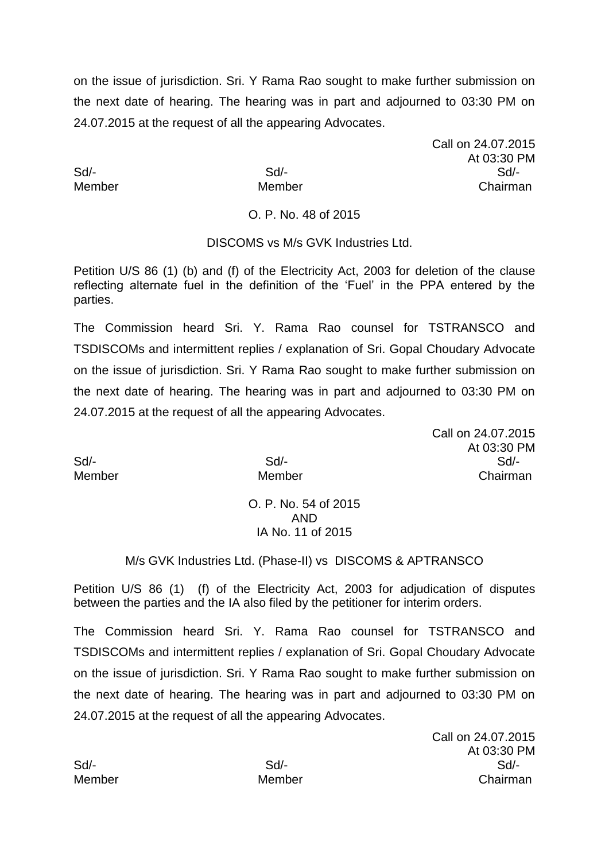on the issue of jurisdiction. Sri. Y Rama Rao sought to make further submission on the next date of hearing. The hearing was in part and adjourned to 03:30 PM on 24.07.2015 at the request of all the appearing Advocates.

Call on 24.07.2015 At 03:30 PM Sd/- Sd/- Sd/- Member Member Chairman

O. P. No. 48 of 2015

## DISCOMS vs M/s GVK Industries Ltd.

Petition U/S 86 (1) (b) and (f) of the Electricity Act, 2003 for deletion of the clause reflecting alternate fuel in the definition of the 'Fuel' in the PPA entered by the parties.

The Commission heard Sri. Y. Rama Rao counsel for TSTRANSCO and TSDISCOMs and intermittent replies / explanation of Sri. Gopal Choudary Advocate on the issue of jurisdiction. Sri. Y Rama Rao sought to make further submission on the next date of hearing. The hearing was in part and adjourned to 03:30 PM on 24.07.2015 at the request of all the appearing Advocates.

Call on 24.07.2015 At 03:30 PM Sd/- Sd/- Sd/- Member Member Chairman

O. P. No. 54 of 2015 AND IA No. 11 of 2015

## M/s GVK Industries Ltd. (Phase-II) vs DISCOMS & APTRANSCO

Petition U/S 86 (1) (f) of the Electricity Act, 2003 for adjudication of disputes between the parties and the IA also filed by the petitioner for interim orders.

The Commission heard Sri. Y. Rama Rao counsel for TSTRANSCO and TSDISCOMs and intermittent replies / explanation of Sri. Gopal Choudary Advocate on the issue of jurisdiction. Sri. Y Rama Rao sought to make further submission on the next date of hearing. The hearing was in part and adjourned to 03:30 PM on 24.07.2015 at the request of all the appearing Advocates.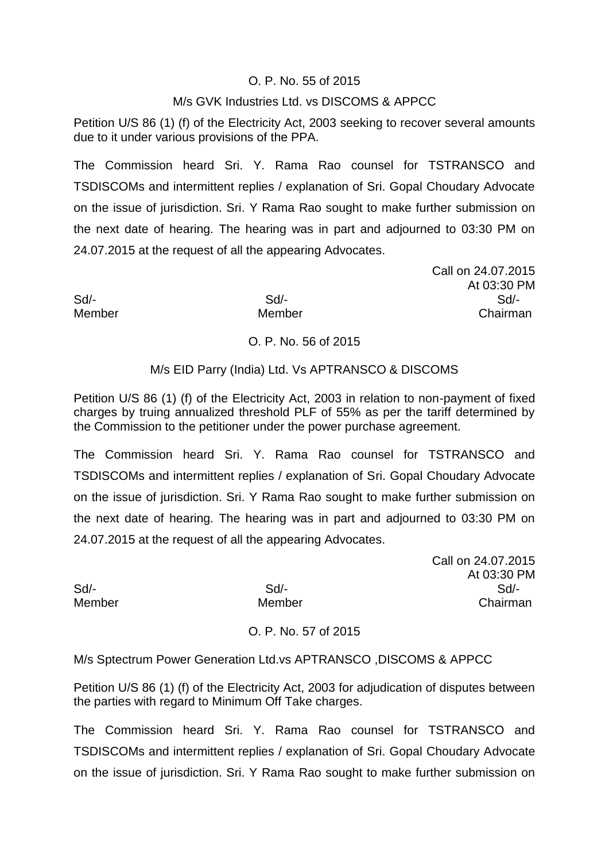## O. P. No. 55 of 2015

### M/s GVK Industries Ltd. vs DISCOMS & APPCC

Petition U/S 86 (1) (f) of the Electricity Act, 2003 seeking to recover several amounts due to it under various provisions of the PPA.

The Commission heard Sri. Y. Rama Rao counsel for TSTRANSCO and TSDISCOMs and intermittent replies / explanation of Sri. Gopal Choudary Advocate on the issue of jurisdiction. Sri. Y Rama Rao sought to make further submission on the next date of hearing. The hearing was in part and adjourned to 03:30 PM on 24.07.2015 at the request of all the appearing Advocates.

Call on 24.07.2015 At 03:30 PM Sd/- Sd/- Sd/- Member Member Chairman

## O. P. No. 56 of 2015

#### M/s EID Parry (India) Ltd. Vs APTRANSCO & DISCOMS

Petition U/S 86 (1) (f) of the Electricity Act, 2003 in relation to non-payment of fixed charges by truing annualized threshold PLF of 55% as per the tariff determined by the Commission to the petitioner under the power purchase agreement.

The Commission heard Sri. Y. Rama Rao counsel for TSTRANSCO and TSDISCOMs and intermittent replies / explanation of Sri. Gopal Choudary Advocate on the issue of jurisdiction. Sri. Y Rama Rao sought to make further submission on the next date of hearing. The hearing was in part and adjourned to 03:30 PM on 24.07.2015 at the request of all the appearing Advocates.

Call on 24.07.2015 At 03:30 PM Sd/- Sd/- Sd/- Member Member Chairman

O. P. No. 57 of 2015

M/s Sptectrum Power Generation Ltd.vs APTRANSCO ,DISCOMS & APPCC

Petition U/S 86 (1) (f) of the Electricity Act, 2003 for adjudication of disputes between the parties with regard to Minimum Off Take charges.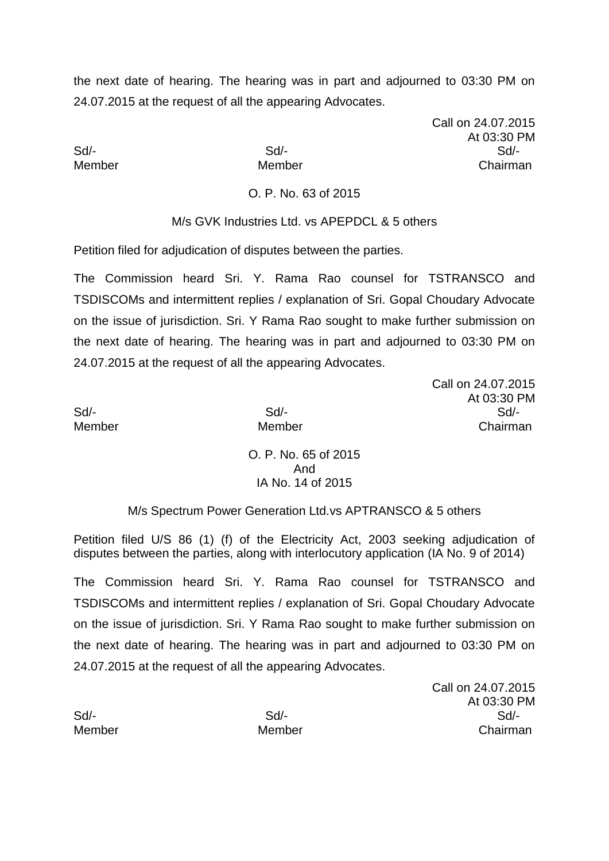Call on 24.07.2015 At 03:30 PM Sd/- Sd/- Sd/- Member Member Chairman

O. P. No. 63 of 2015

M/s GVK Industries Ltd. vs APEPDCL & 5 others

Petition filed for adjudication of disputes between the parties.

The Commission heard Sri. Y. Rama Rao counsel for TSTRANSCO and TSDISCOMs and intermittent replies / explanation of Sri. Gopal Choudary Advocate on the issue of jurisdiction. Sri. Y Rama Rao sought to make further submission on the next date of hearing. The hearing was in part and adjourned to 03:30 PM on 24.07.2015 at the request of all the appearing Advocates.

Call on 24.07.2015 At 03:30 PM Sd/- Sd/- Sd/- Member Member Chairman

> O. P. No. 65 of 2015 And IA No. 14 of 2015

M/s Spectrum Power Generation Ltd.vs APTRANSCO & 5 others

Petition filed U/S 86 (1) (f) of the Electricity Act, 2003 seeking adjudication of disputes between the parties, along with interlocutory application (IA No. 9 of 2014)

The Commission heard Sri. Y. Rama Rao counsel for TSTRANSCO and TSDISCOMs and intermittent replies / explanation of Sri. Gopal Choudary Advocate on the issue of jurisdiction. Sri. Y Rama Rao sought to make further submission on the next date of hearing. The hearing was in part and adjourned to 03:30 PM on 24.07.2015 at the request of all the appearing Advocates.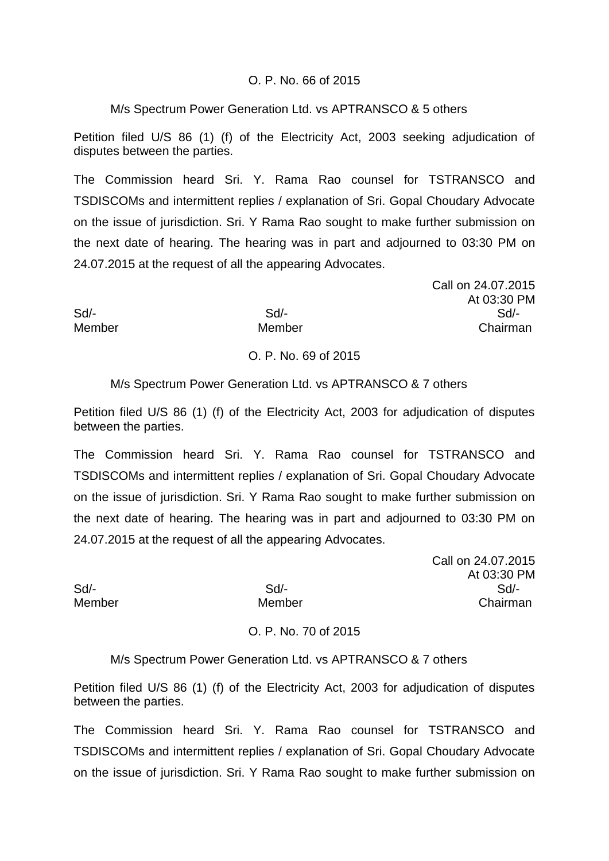## O. P. No. 66 of 2015

### M/s Spectrum Power Generation Ltd. vs APTRANSCO & 5 others

Petition filed U/S 86 (1) (f) of the Electricity Act, 2003 seeking adjudication of disputes between the parties.

The Commission heard Sri. Y. Rama Rao counsel for TSTRANSCO and TSDISCOMs and intermittent replies / explanation of Sri. Gopal Choudary Advocate on the issue of jurisdiction. Sri. Y Rama Rao sought to make further submission on the next date of hearing. The hearing was in part and adjourned to 03:30 PM on 24.07.2015 at the request of all the appearing Advocates.

Call on 24.07.2015 At 03:30 PM Sd/- Sd/- Sd/- Member Member Chairman

# O. P. No. 69 of 2015

## M/s Spectrum Power Generation Ltd. vs APTRANSCO & 7 others

Petition filed U/S 86 (1) (f) of the Electricity Act, 2003 for adjudication of disputes between the parties.

The Commission heard Sri. Y. Rama Rao counsel for TSTRANSCO and TSDISCOMs and intermittent replies / explanation of Sri. Gopal Choudary Advocate on the issue of jurisdiction. Sri. Y Rama Rao sought to make further submission on the next date of hearing. The hearing was in part and adjourned to 03:30 PM on 24.07.2015 at the request of all the appearing Advocates.

Call on 24.07.2015 At 03:30 PM Sd/- Sd/- Sd/- Member Member Chairman

O. P. No. 70 of 2015

M/s Spectrum Power Generation Ltd. vs APTRANSCO & 7 others

Petition filed U/S 86 (1) (f) of the Electricity Act, 2003 for adjudication of disputes between the parties.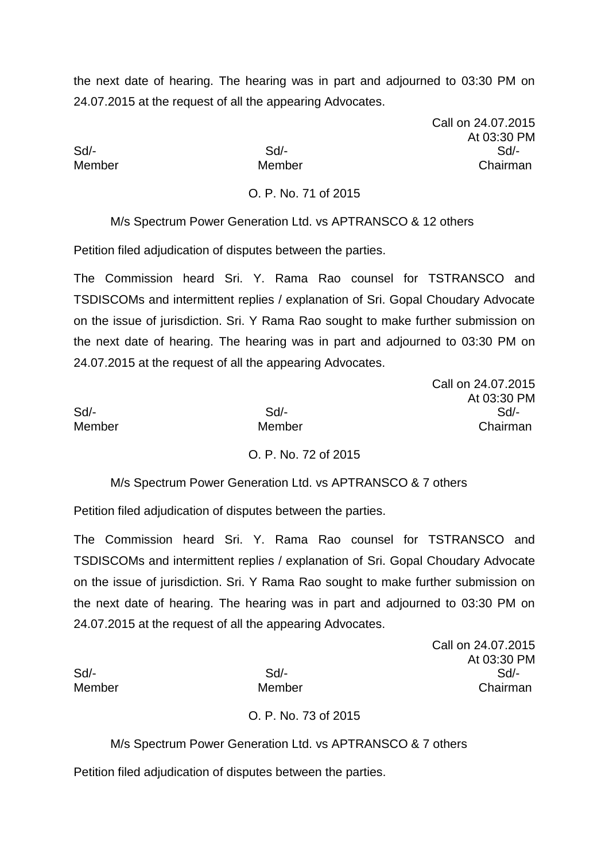Call on 24.07.2015 At 03:30 PM Sd/- Sd/- Sd/- Member Member Chairman

O. P. No. 71 of 2015

M/s Spectrum Power Generation Ltd. vs APTRANSCO & 12 others

Petition filed adjudication of disputes between the parties.

The Commission heard Sri. Y. Rama Rao counsel for TSTRANSCO and TSDISCOMs and intermittent replies / explanation of Sri. Gopal Choudary Advocate on the issue of jurisdiction. Sri. Y Rama Rao sought to make further submission on the next date of hearing. The hearing was in part and adjourned to 03:30 PM on 24.07.2015 at the request of all the appearing Advocates.

|        |        | Call on 24.07.2015 |
|--------|--------|--------------------|
|        |        | At 03:30 PM        |
| Sd/-   | Sd     | Sd                 |
| Member | Member | Chairman           |

# O. P. No. 72 of 2015

M/s Spectrum Power Generation Ltd. vs APTRANSCO & 7 others

Petition filed adjudication of disputes between the parties.

The Commission heard Sri. Y. Rama Rao counsel for TSTRANSCO and TSDISCOMs and intermittent replies / explanation of Sri. Gopal Choudary Advocate on the issue of jurisdiction. Sri. Y Rama Rao sought to make further submission on the next date of hearing. The hearing was in part and adjourned to 03:30 PM on 24.07.2015 at the request of all the appearing Advocates.

Call on 24.07.2015 At 03:30 PM Sd/- Sd/- Sd/- Member Member Chairman

# O. P. No. 73 of 2015

M/s Spectrum Power Generation Ltd. vs APTRANSCO & 7 others

Petition filed adjudication of disputes between the parties.